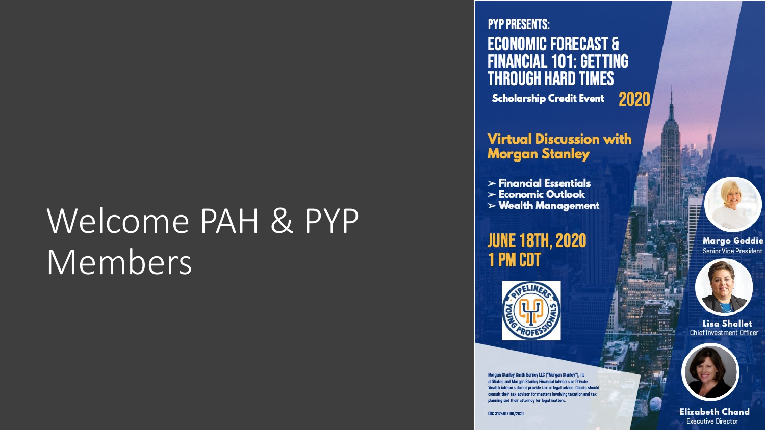# Welcome PAH & PYP Members

**PYP PRESENTS: ECONOMIC FORECAST & FINANCIAL 101: GETTING THROUGH HARD TIMES** 

Scholarship Credit Event 2020

**Virtual Discussion with Morgan Stanley** 

- $\triangleright$  Financial Essentials
- $\triangleright$  Economic Outlook
- $>$  Wealth Management

**JUNE 18TH, 2020 1 PM CDT** 



Morgan Stanley Smith Barney LLC ("Morgan Stanley"), its affiliates and Morgan Stanley Financial Advisors or Private Wealth Advisors do not provide tax or legal advice. Clients should consult their tax advisor for matters involving taxation and tax planning and their attorney for legal matters.

CRC 3124637 06/2020





**Lisa Shallet Chief Investment Officer** 



**Elizabeth Chand Executive Director**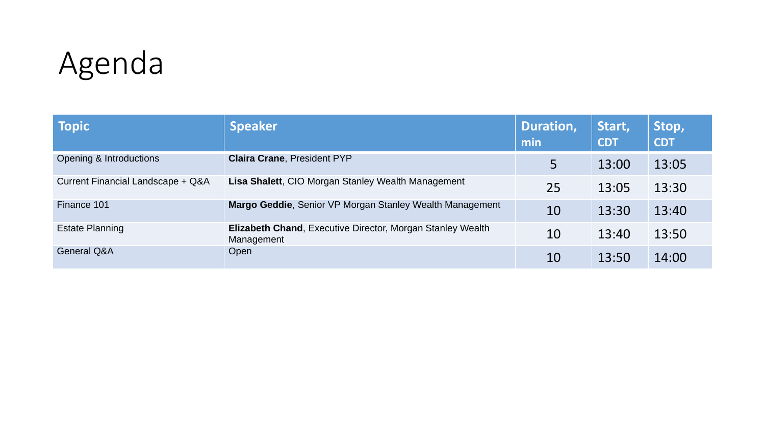# Agenda

| <b>Topic</b>                      | <b>Speaker</b>                                                                  | Duration,<br>min | Start,<br><b>CDT</b> | Stop,<br><b>CDT</b> |
|-----------------------------------|---------------------------------------------------------------------------------|------------------|----------------------|---------------------|
| Opening & Introductions           | <b>Claira Crane, President PYP</b>                                              | 5                | 13:00                | 13:05               |
| Current Financial Landscape + Q&A | Lisa Shalett, CIO Morgan Stanley Wealth Management                              | 25               | 13:05                | 13:30               |
| Finance 101                       | Margo Geddie, Senior VP Morgan Stanley Wealth Management                        | 10               | 13:30                | 13:40               |
| <b>Estate Planning</b>            | <b>Elizabeth Chand, Executive Director, Morgan Stanley Wealth</b><br>Management | 10               | 13:40                | 13:50               |
| <b>General Q&amp;A</b>            | Open                                                                            | 10               | 13:50                | 14:00               |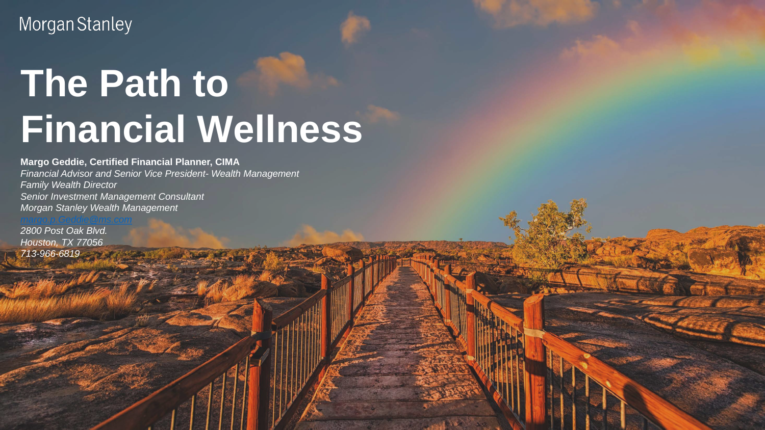Morgan Stanley

# **The Path to Financial Wellness**

NOT ALL PRODUCTS ARE AVAILABLE IN ALL PRODUCTS ARE AVAILABLE IN ALL JURISDICTIONS OR COUNTRIES.

**Margo Geddie, Certified Financial Planner, CIMA** *Financial Advisor and Senior Vice President- Wealth Management Family Wealth Director Senior Investment Management Consultant Morgan Stanley Wealth Management*

*2800 Post Oak Blvd. Houston, TX 77056 713-966-6819*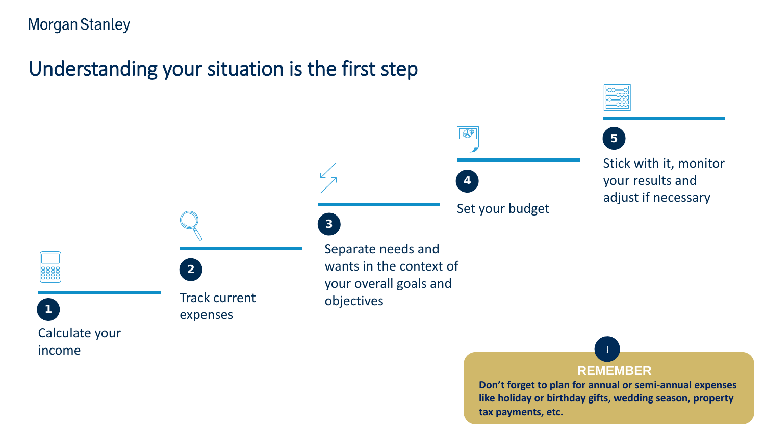# Understanding your situation is the first step



**Don't forget to plan for annual or semi-annual expenses like holiday or birthday gifts, wedding season, property tax payments, etc.**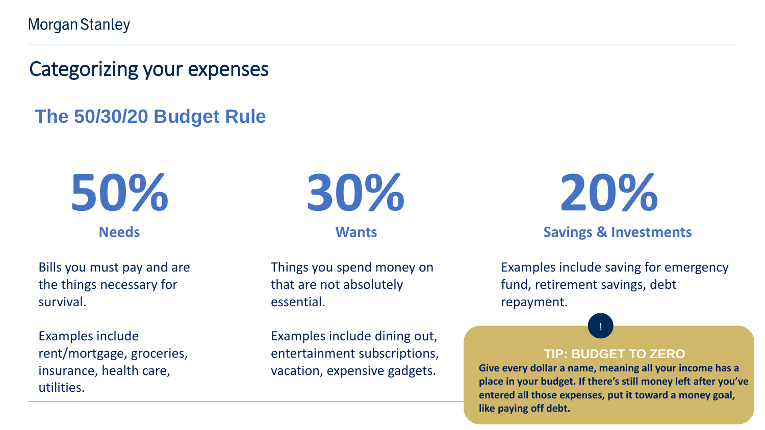**Morgan Stanley** 

Categorizing your expenses

## **The 50/30/20 Budget Rule**

**50% Needs**

Bills you must pay and are the things necessary for survival.

Examples include rent/mortgage, groceries, insurance, health care, utilities.



**Wants**

Things you spend money on that are not absolutely essential.

Examples include dining out, entertainment subscriptions, vacation, expensive gadgets.

**20%**

#### **Savings & Investments**

Examples include saving for emergency fund, retirement savings, debt repayment.

#### **TIP: BUDGET TO ZERO**

!

**Give every dollar a name, meaning all your income has a place in your budget. If there's still money left after you've entered all those expenses, put it toward a money goal, like paying off debt.**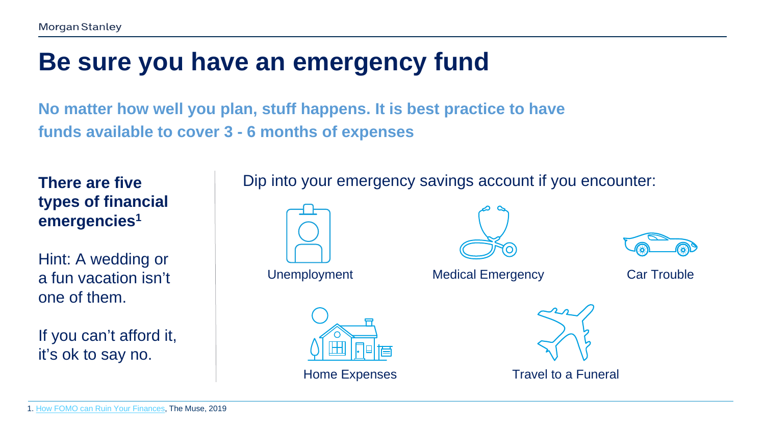# **Be sure you have an emergency fund**

**No matter how well you plan, stuff happens. It is best practice to have funds available to cover 3 - 6 months of expenses**

**There are five types of financial emergencies1**

Hint: A wedding or a fun vacation isn't one of them.

If you can't afford it, it's ok to say no.

### Dip into your emergency savings account if you encounter:



Unemployment Medical Emergency Car Trouble







Home Expenses Travel to a Funeral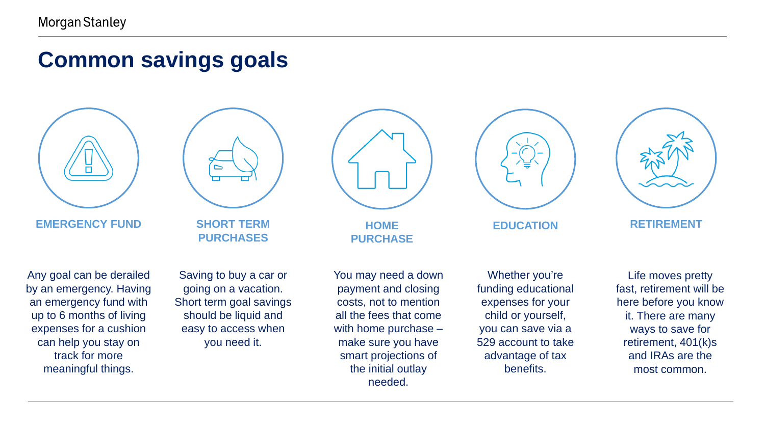# **Common savings goals**



**EMERGENCY FUND**

**SHORT TERM PURCHASES**

Any goal can be derailed by an emergency. Having an emergency fund with up to 6 months of living expenses for a cushion can help you stay on track for more meaningful things.

Saving to buy a car or going on a vacation. Short term goal savings should be liquid and easy to access when you need it.



**HOME PURCHASE**

You may need a down payment and closing costs, not to mention all the fees that come with home purchase – make sure you have smart projections of the initial outlay needed.



Whether you're funding educational expenses for your child or yourself, you can save via a 529 account to take advantage of tax benefits.



**EDUCATION RETIREMENT**

Life moves pretty fast, retirement will be here before you know it. There are many ways to save for retirement, 401(k)s and IRAs are the most common.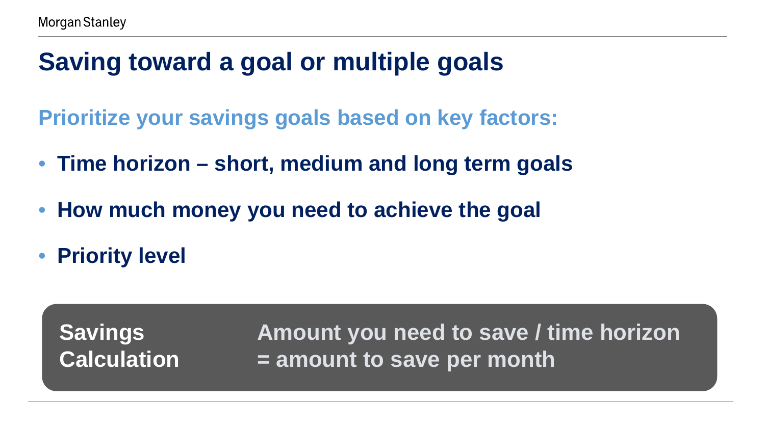# **Saving toward a goal or multiple goals**

**Prioritize your savings goals based on key factors:** 

- **Time horizon – short, medium and long term goals**
- **How much money you need to achieve the goal**
- **Priority level**

**Savings Calculation**

**Amount you need to save / time horizon = amount to save per month**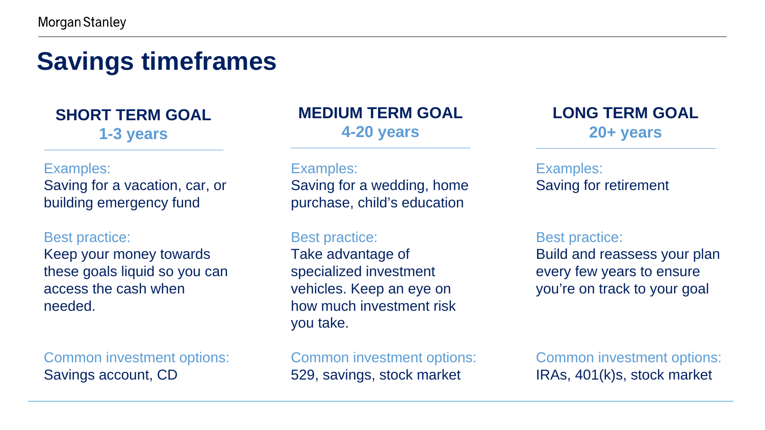# **Savings timeframes**

**SHORT TERM GOAL 1-3 years**

#### Examples:

Saving for a vacation, car, or building emergency fund

#### Best practice:

Keep your money towards these goals liquid so you can access the cash when needed.

Common investment options: Savings account, CD

### **MEDIUM TERM GOAL 4-20 years**

#### Examples:

Saving for a wedding, home purchase, child's education

#### Best practice:

Take advantage of specialized investment vehicles. Keep an eye on how much investment risk you take.

Common investment options: 529, savings, stock market

**LONG TERM GOAL 20+ years**

#### Examples: Saving for retirement

#### Best practice:

Build and reassess your plan every few years to ensure you're on track to your goal

Common investment options: IRAs, 401(k)s, stock market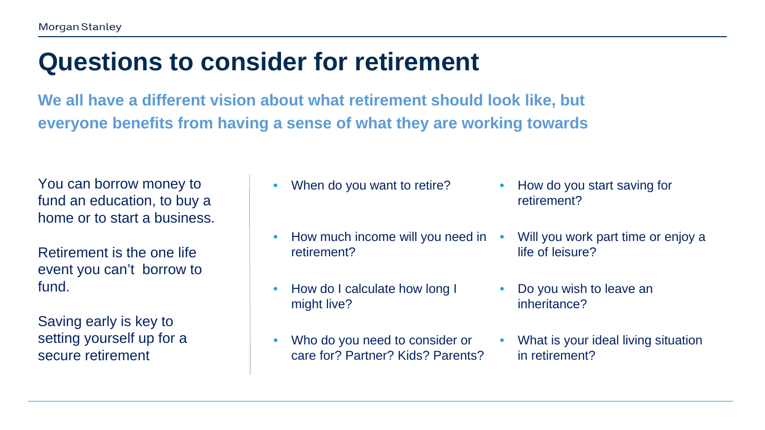# **Questions to consider for retirement**

**We all have a different vision about what retirement should look like, but everyone benefits from having a sense of what they are working towards**

You can borrow money to fund an education, to buy a home or to start a business.

Retirement is the one life event you can't borrow to fund.

Saving early is key to setting yourself up for a secure retirement

- When do you want to retire? How do you start saving for
- How much income will you need in retirement?
- How do I calculate how long I might live?
- Who do you need to consider or care for? Partner? Kids? Parents?
- retirement?
- Will you work part time or enjoy a life of leisure?
- Do you wish to leave an inheritance?
- What is your ideal living situation in retirement?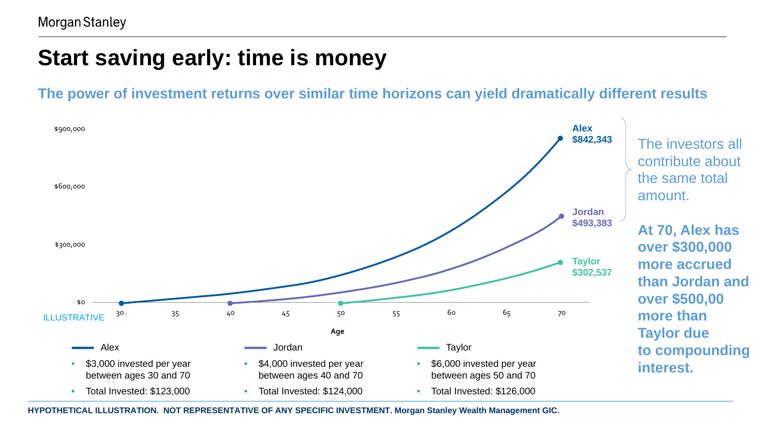# **Start saving early: time is money**

**The power of investment returns over similar time horizons can yield dramatically different results**



**HYPOTHETICAL ILLUSTRATION. NOT REPRESENTATIVE OF ANY SPECIFIC INVESTMENT. Morgan Stanley Wealth Management GIC.**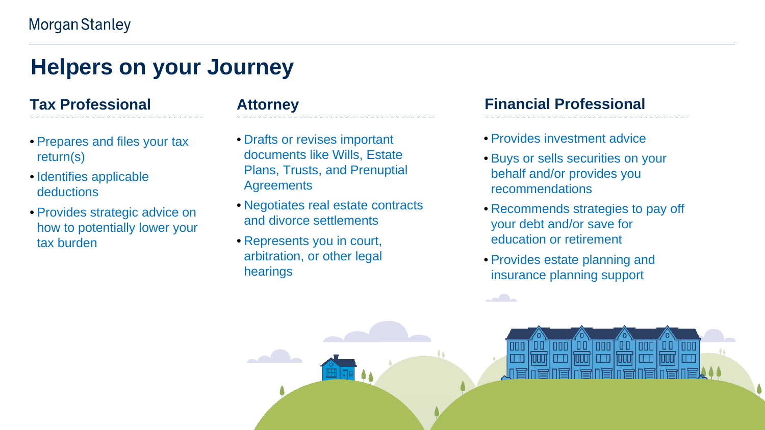# **Helpers on your Journey**

#### **Tax Professional**

- Prepares and files your tax return(s)
- Identifies applicable deductions
- Provides strategic advice on how to potentially lower your tax burden

#### **Attorney**

- Drafts or revises important documents like Wills, Estate Plans, Trusts, and Prenuptial **Agreements**
- Negotiates real estate contracts and divorce settlements
- Represents you in court, arbitration, or other legal hearings

#### **Financial Professional**

- Provides investment advice
- Buys or sells securities on your behalf and/or provides you recommendations
- Recommends strategies to pay off your debt and/or save for education or retirement

00 | 000 |

10001 | 0001 | 0001 | 0001 | 0001 | 000

 $|000|$ 

-99

 $|00|$ 

• Provides estate planning and insurance planning support

00 | 000 |

 $\overline{\phantom{a}}$ 

M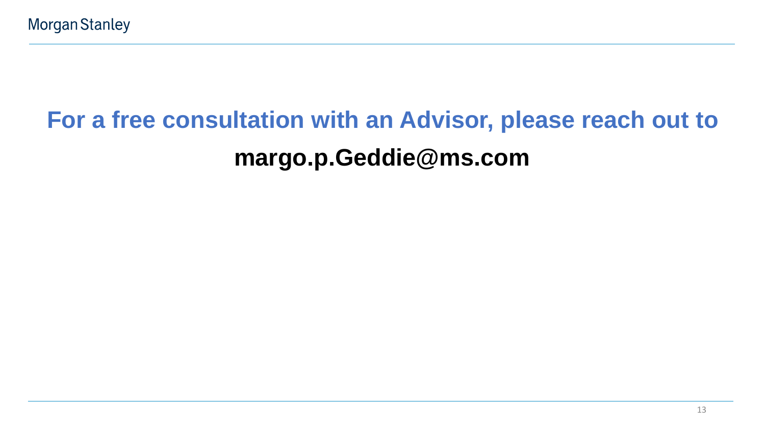# **For a free consultation with an Advisor, please reach out to margo.p.Geddie@ms.com**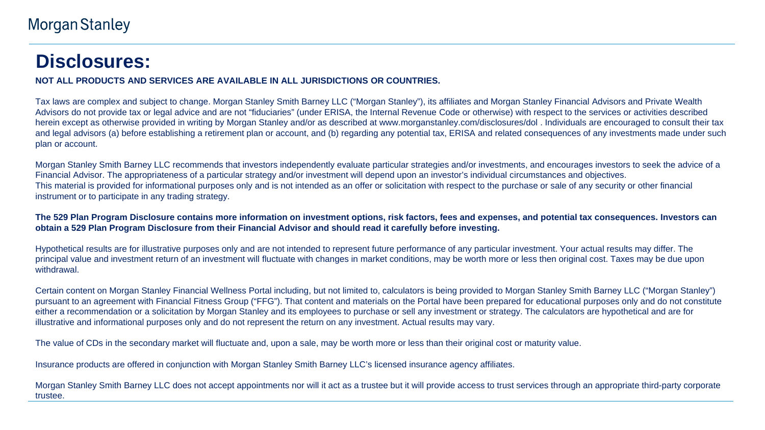## **Disclosures:**

**NOT ALL PRODUCTS AND SERVICES ARE AVAILABLE IN ALL JURISDICTIONS OR COUNTRIES.**

Tax laws are complex and subject to change. Morgan Stanley Smith Barney LLC ("Morgan Stanley"), its affiliates and Morgan Stanley Financial Advisors and Private Wealth Advisors do not provide tax or legal advice and are not "fiduciaries" (under ERISA, the Internal Revenue Code or otherwise) with respect to the services or activities described herein except as otherwise provided in writing by Morgan Stanley and/or as described at www.morganstanley.com/disclosures/dol . Individuals are encouraged to consult their tax and legal advisors (a) before establishing a retirement plan or account, and (b) regarding any potential tax, ERISA and related consequences of any investments made under such plan or account.

Morgan Stanley Smith Barney LLC recommends that investors independently evaluate particular strategies and/or investments, and encourages investors to seek the advice of a Financial Advisor. The appropriateness of a particular strategy and/or investment will depend upon an investor's individual circumstances and objectives. This material is provided for informational purposes only and is not intended as an offer or solicitation with respect to the purchase or sale of any security or other financial instrument or to participate in any trading strategy.

**The 529 Plan Program Disclosure contains more information on investment options, risk factors, fees and expenses, and potential tax consequences. Investors can obtain a 529 Plan Program Disclosure from their Financial Advisor and should read it carefully before investing.**

Hypothetical results are for illustrative purposes only and are not intended to represent future performance of any particular investment. Your actual results may differ. The principal value and investment return of an investment will fluctuate with changes in market conditions, may be worth more or less then original cost. Taxes may be due upon withdrawal.

Certain content on Morgan Stanley Financial Wellness Portal including, but not limited to, calculators is being provided to Morgan Stanley Smith Barney LLC ("Morgan Stanley") pursuant to an agreement with Financial Fitness Group ("FFG"). That content and materials on the Portal have been prepared for educational purposes only and do not constitute either a recommendation or a solicitation by Morgan Stanley and its employees to purchase or sell any investment or strategy. The calculators are hypothetical and are for illustrative and informational purposes only and do not represent the return on any investment. Actual results may vary.

The value of CDs in the secondary market will fluctuate and, upon a sale, may be worth more or less than their original cost or maturity value.

Insurance products are offered in conjunction with Morgan Stanley Smith Barney LLC's licensed insurance agency affiliates.

Morgan Stanley Smith Barney LLC does not accept appointments nor will it act as a trustee but it will provide access to trust services through an appropriate third-party corporate trustee.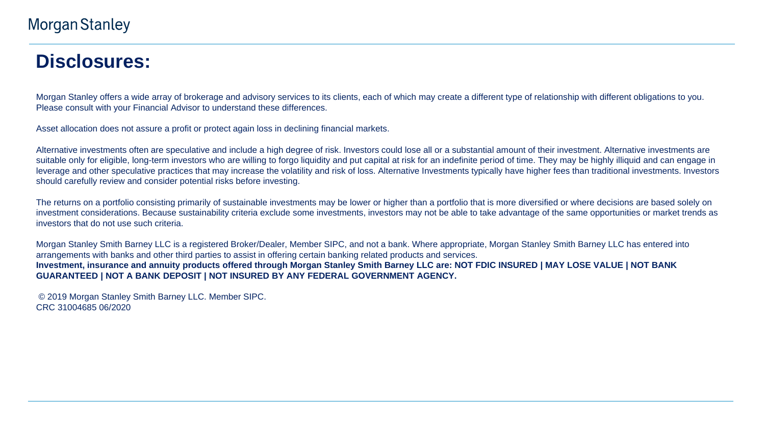# **Disclosures:**

Morgan Stanley offers a wide array of brokerage and advisory services to its clients, each of which may create a different type of relationship with different obligations to you. Please consult with your Financial Advisor to understand these differences.

Asset allocation does not assure a profit or protect again loss in declining financial markets.

Alternative investments often are speculative and include a high degree of risk. Investors could lose all or a substantial amount of their investment. Alternative investments are suitable only for eligible, long-term investors who are willing to forgo liquidity and put capital at risk for an indefinite period of time. They may be highly illiquid and can engage in leverage and other speculative practices that may increase the volatility and risk of loss. Alternative Investments typically have higher fees than traditional investments. Investors should carefully review and consider potential risks before investing.

The returns on a portfolio consisting primarily of sustainable investments may be lower or higher than a portfolio that is more diversified or where decisions are based solely on investment considerations. Because sustainability criteria exclude some investments, investors may not be able to take advantage of the same opportunities or market trends as investors that do not use such criteria.

Morgan Stanley Smith Barney LLC is a registered Broker/Dealer, Member SIPC, and not a bank. Where appropriate, Morgan Stanley Smith Barney LLC has entered into arrangements with banks and other third parties to assist in offering certain banking related products and services. **Investment, insurance and annuity products offered through Morgan Stanley Smith Barney LLC are: NOT FDIC INSURED | MAY LOSE VALUE | NOT BANK GUARANTEED | NOT A BANK DEPOSIT | NOT INSURED BY ANY FEDERAL GOVERNMENT AGENCY.**

© 2019 Morgan Stanley Smith Barney LLC. Member SIPC. CRC 31004685 06/2020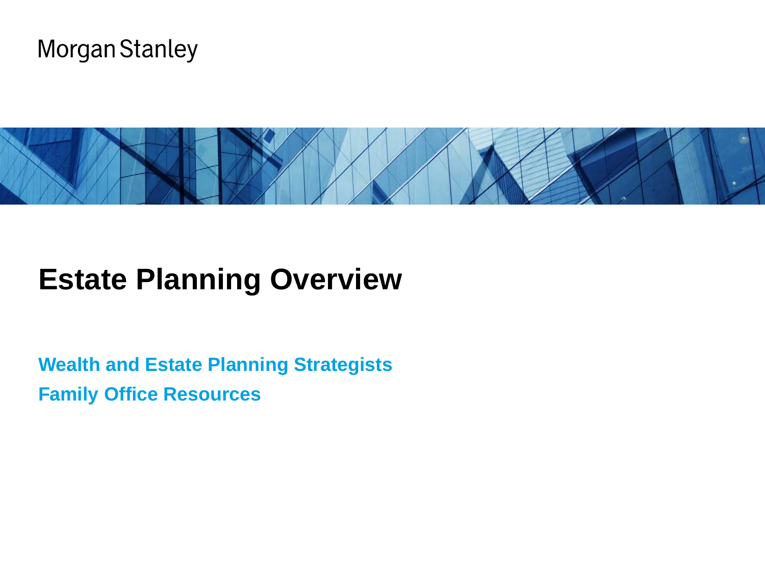



# **Estate Planning Overview**

**Wealth and Estate Planning Strategists Family Office Resources**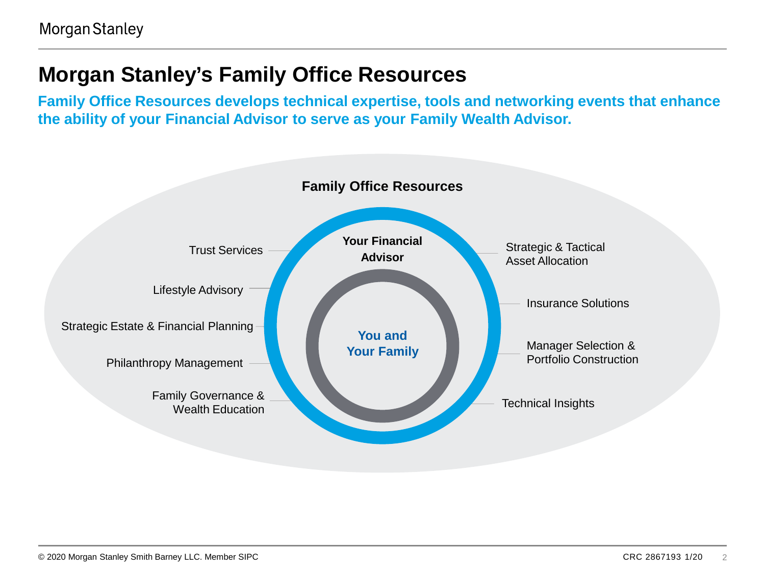#### **Morgan Stanley's Family Office Resources**

**Family Office Resources develops technical expertise, tools and networking events that enhance the ability of your Financial Advisor to serve as your Family Wealth Advisor.**

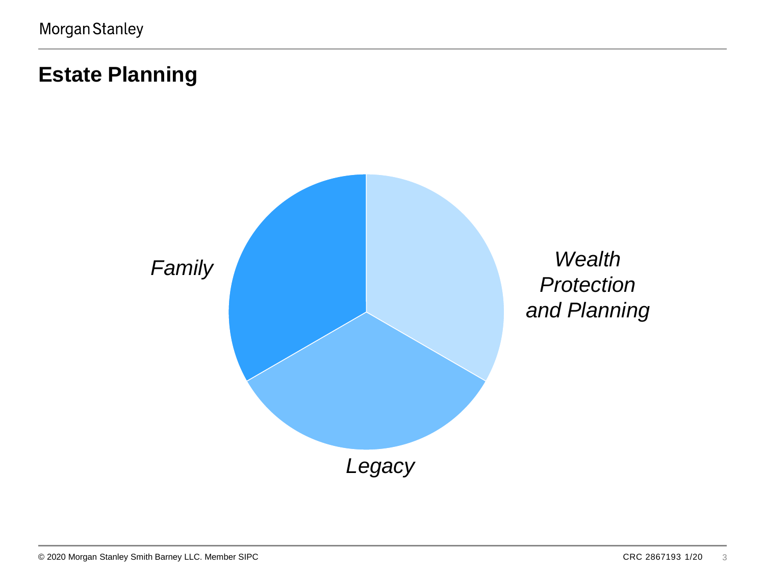### **Estate Planning**

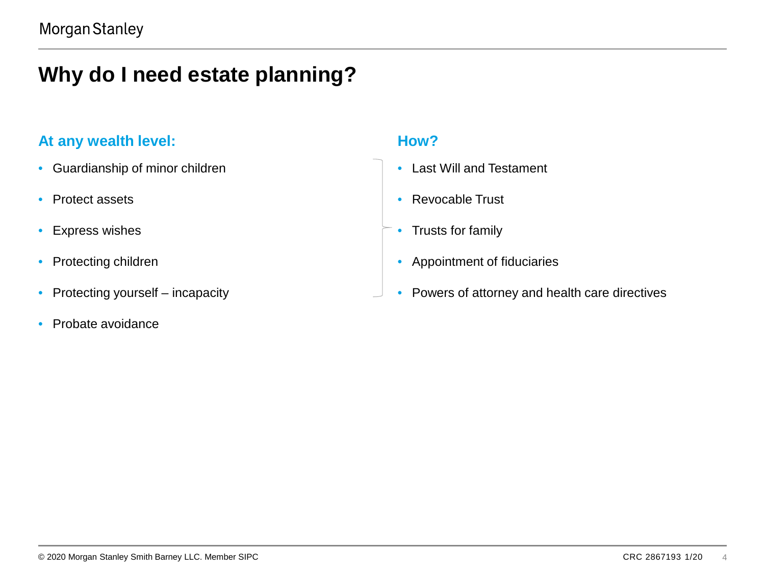### **Why do I need estate planning?**

#### At any wealth level: **How? How?**

- Guardianship of minor children
- Protect assets
- Express wishes
- Protecting children
- Protecting yourself incapacity
- Probate avoidance

- Last Will and Testament
- Revocable Trust
- Trusts for family
- Appointment of fiduciaries
- Powers of attorney and health care directives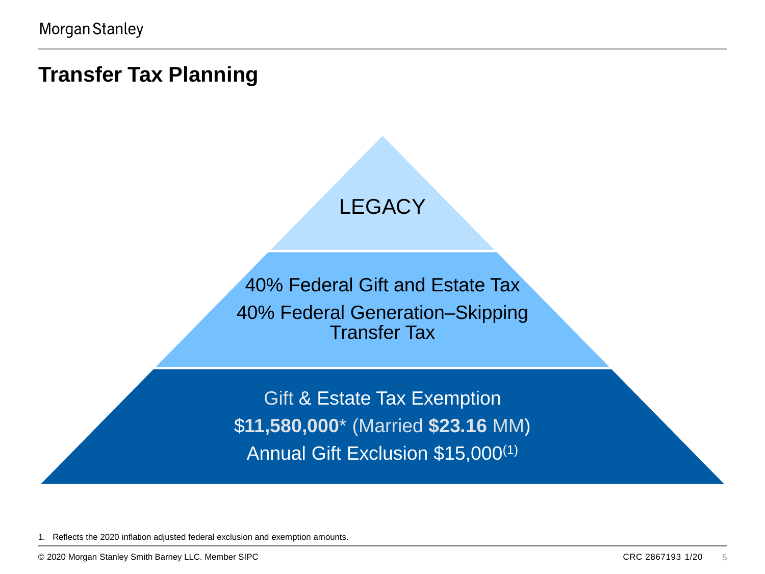#### **Transfer Tax Planning**



40% Federal Gift and Estate Tax 40% Federal Generation–Skipping Transfer Tax

Gift & Estate Tax Exemption \$**11,580,000**\* (Married **\$23.16** MM) Annual Gift Exclusion \$15,000(1)

1. Reflects the 2020 inflation adjusted federal exclusion and exemption amounts.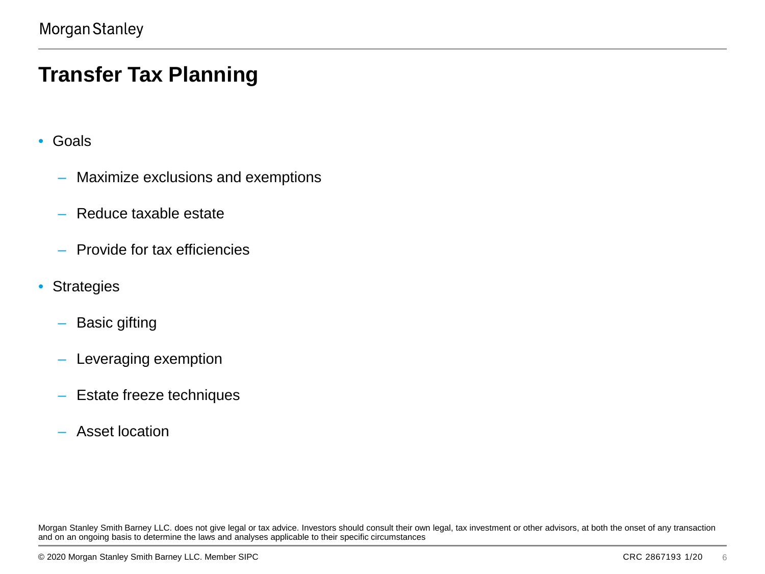#### **Transfer Tax Planning**

- Goals
	- Maximize exclusions and exemptions
	- Reduce taxable estate
	- Provide for tax efficiencies
- Strategies
	- Basic gifting
	- Leveraging exemption
	- Estate freeze techniques
	- Asset location

Morgan Stanley Smith Barney LLC. does not give legal or tax advice. Investors should consult their own legal, tax investment or other advisors, at both the onset of any transaction and on an ongoing basis to determine the laws and analyses applicable to their specific circumstances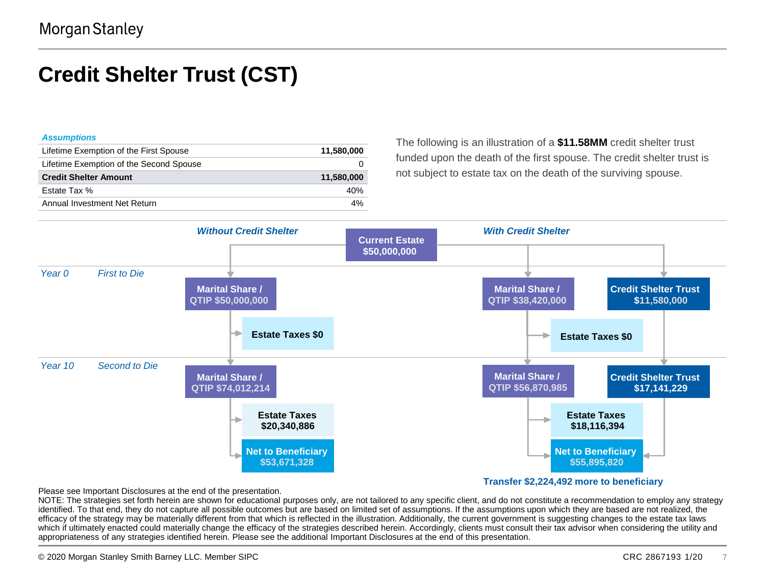### **Credit Shelter Trust (CST)**

#### *Assumptions*

| Lifetime Exemption of the First Spouse  | 11,580,000 |
|-----------------------------------------|------------|
| Lifetime Exemption of the Second Spouse |            |
| <b>Credit Shelter Amount</b>            | 11,580,000 |
| Estate Tax %                            | 40%        |
| Annual Investment Net Return            | 4%         |

The following is an illustration of a **\$11.58MM** credit shelter trust funded upon the death of the first spouse. The credit shelter trust is not subject to estate tax on the death of the surviving spouse.



Please see Important Disclosures at the end of the presentation.

NOTE: The strategies set forth herein are shown for educational purposes only, are not tailored to any specific client, and do not constitute a recommendation to employ any strategy identified. To that end, they do not capture all possible outcomes but are based on limited set of assumptions. If the assumptions upon which they are based are not realized, the efficacy of the strategy may be materially different from that which is reflected in the illustration. Additionally, the current government is suggesting changes to the estate tax laws which if ultimately enacted could materially change the efficacy of the strategies described herein. Accordingly, clients must consult their tax advisor when considering the utility and appropriateness of any strategies identified herein. Please see the additional Important Disclosures at the end of this presentation.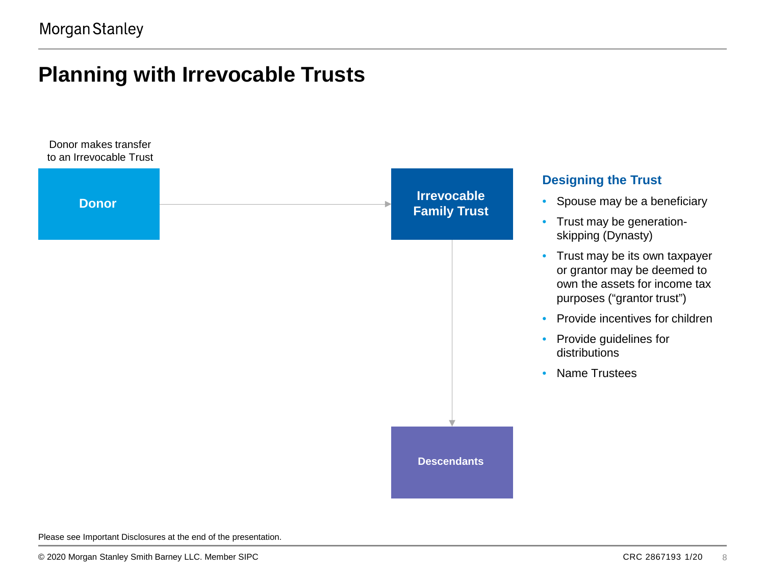#### **Planning with Irrevocable Trusts**



Please see Important Disclosures at the end of the presentation.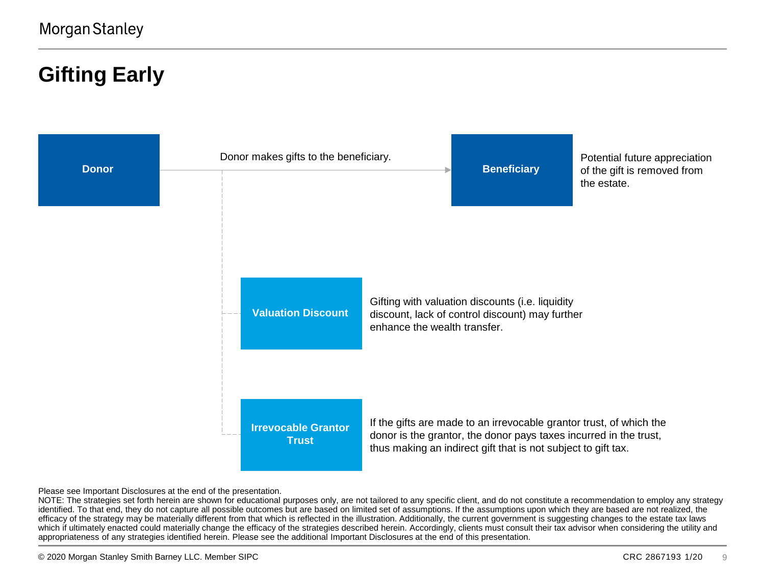### **Gifting Early**



Please see Important Disclosures at the end of the presentation.

NOTE: The strategies set forth herein are shown for educational purposes only, are not tailored to any specific client, and do not constitute a recommendation to employ any strategy identified. To that end, they do not capture all possible outcomes but are based on limited set of assumptions. If the assumptions upon which they are based are not realized, the efficacy of the strategy may be materially different from that which is reflected in the illustration. Additionally, the current government is suggesting changes to the estate tax laws which if ultimately enacted could materially change the efficacy of the strategies described herein. Accordingly, clients must consult their tax advisor when considering the utility and appropriateness of any strategies identified herein. Please see the additional Important Disclosures at the end of this presentation.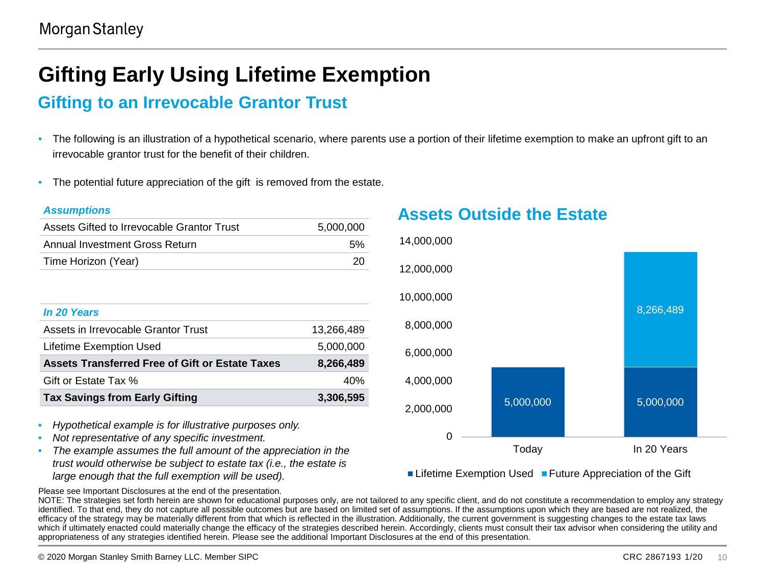### **Gifting Early Using Lifetime Exemption**

#### **Gifting to an Irrevocable Grantor Trust**

- The following is an illustration of a hypothetical scenario, where parents use a portion of their lifetime exemption to make an upfront gift to an irrevocable grantor trust for the benefit of their children.
- The potential future appreciation of the gift is removed from the estate.

#### *Assumptions*

| Assets Gifted to Irrevocable Grantor Trust | 5.000.000 |
|--------------------------------------------|-----------|
| Annual Investment Gross Return             | 5%        |
| Time Horizon (Year)                        | -20       |

| In 20 Years                                     |            |
|-------------------------------------------------|------------|
| Assets in Irrevocable Grantor Trust             | 13.266.489 |
| Lifetime Exemption Used                         | 5.000.000  |
| Assets Transferred Free of Gift or Estate Taxes | 8.266.489  |
| Gift or Estate Tax %                            | 40%        |
| <b>Tax Savings from Early Gifting</b>           | 3.306,595  |

- *Hypothetical example is for illustrative purposes only.*
- *Not representative of any specific investment.*
- *The example assumes the full amount of the appreciation in the trust would otherwise be subject to estate tax (i.e., the estate is large enough that the full exemption will be used).*

**Assets Outside the Estate**



**Lifetime Exemption Used Future Appreciation of the Gift** 

Please see Important Disclosures at the end of the presentation.

NOTE: The strategies set forth herein are shown for educational purposes only, are not tailored to any specific client, and do not constitute a recommendation to employ any strategy identified. To that end, they do not capture all possible outcomes but are based on limited set of assumptions. If the assumptions upon which they are based are not realized, the efficacy of the strategy may be materially different from that which is reflected in the illustration. Additionally, the current government is suggesting changes to the estate tax laws which if ultimately enacted could materially change the efficacy of the strategies described herein. Accordingly, clients must consult their tax advisor when considering the utility and appropriateness of any strategies identified herein. Please see the additional Important Disclosures at the end of this presentation.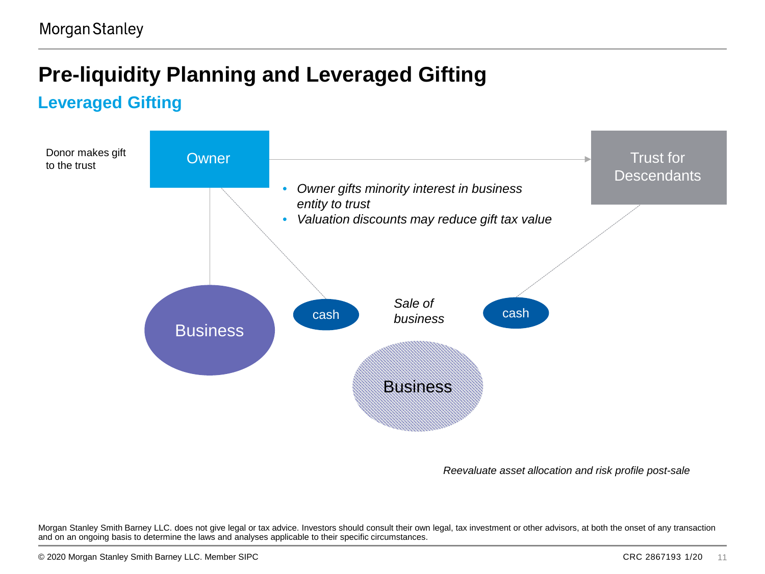### **Pre-liquidity Planning and Leveraged Gifting**

#### **Leveraged Gifting**



*Reevaluate asset allocation and risk profile post-sale* 

Morgan Stanley Smith Barney LLC. does not give legal or tax advice. Investors should consult their own legal, tax investment or other advisors, at both the onset of any transaction and on an ongoing basis to determine the laws and analyses applicable to their specific circumstances.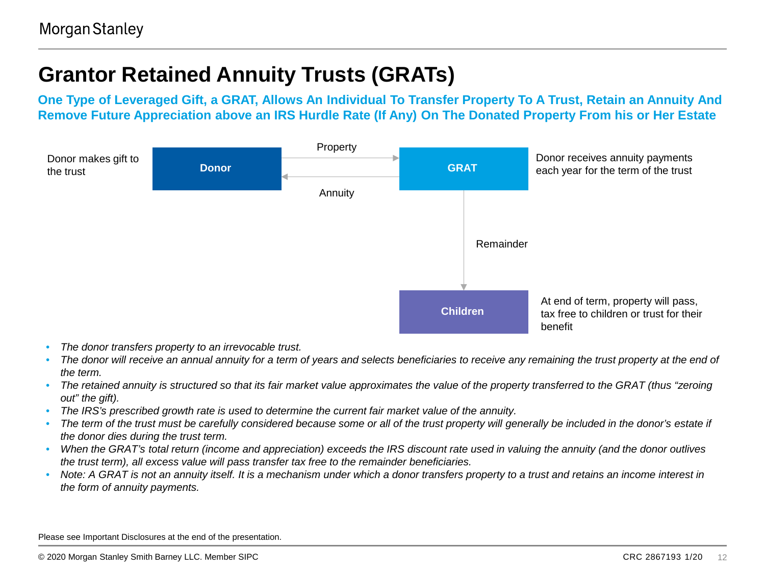### **Grantor Retained Annuity Trusts (GRATs)**

**One Type of Leveraged Gift, a GRAT, Allows An Individual To Transfer Property To A Trust, Retain an Annuity And Remove Future Appreciation above an IRS Hurdle Rate (If Any) On The Donated Property From his or Her Estate**



- *The donor transfers property to an irrevocable trust.*
- *The donor will receive an annual annuity for a term of years and selects beneficiaries to receive any remaining the trust property at the end of the term.*
- *The retained annuity is structured so that its fair market value approximates the value of the property transferred to the GRAT (thus "zeroing out" the gift).*
- *The IRS's prescribed growth rate is used to determine the current fair market value of the annuity.*
- The term of the trust must be carefully considered because some or all of the trust property will generally be included in the donor's estate if *the donor dies during the trust term.*
- *When the GRAT's total return (income and appreciation) exceeds the IRS discount rate used in valuing the annuity (and the donor outlives the trust term), all excess value will pass transfer tax free to the remainder beneficiaries.*
- *Note: A GRAT is not an annuity itself. It is a mechanism under which a donor transfers property to a trust and retains an income interest in the form of annuity payments.*

Please see Important Disclosures at the end of the presentation.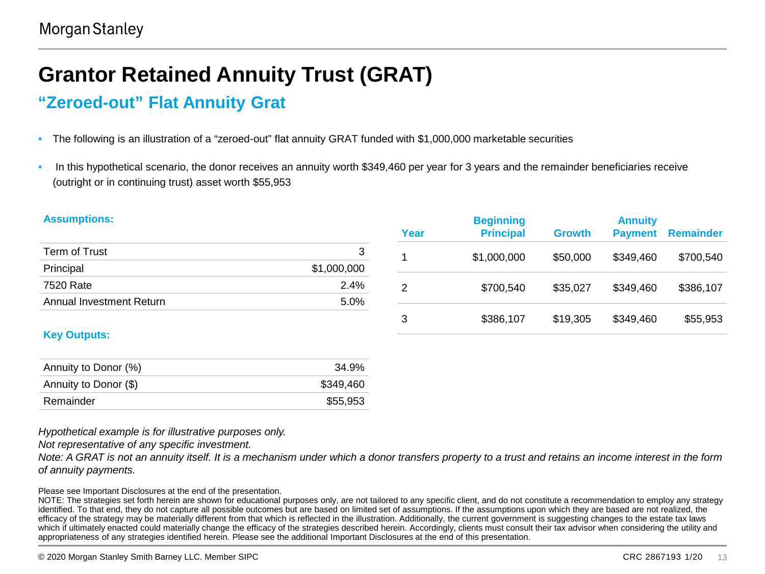### **Grantor Retained Annuity Trust (GRAT)**

#### **"Zeroed-out" Flat Annuity Grat**

- The following is an illustration of a "zeroed-out" flat annuity GRAT funded with \$1,000,000 marketable securities
- In this hypothetical scenario, the donor receives an annuity worth \$349,460 per year for 3 years and the remainder beneficiaries receive (outright or in continuing trust) asset worth \$55,953

| <b>Assumptions:</b>      |             |                | <b>Beginning</b> |               | <b>Annuity</b> |                  |
|--------------------------|-------------|----------------|------------------|---------------|----------------|------------------|
|                          |             | Year           | <b>Principal</b> | <b>Growth</b> | <b>Payment</b> | <b>Remainder</b> |
| Term of Trust            | 3           |                | \$1,000,000      | \$50,000      | \$349,460      | \$700,540        |
| Principal                | \$1,000,000 |                |                  |               |                |                  |
| 7520 Rate                | 2.4%        | $\overline{2}$ | \$700,540        | \$35,027      | \$349,460      | \$386,107        |
| Annual Investment Return | 5.0%        |                |                  |               |                |                  |
|                          |             | 3              | \$386,107        | \$19,305      | \$349,460      | \$55,953         |
| <b>Key Outputs:</b>      |             |                |                  |               |                |                  |
| Annuity to Donor (%)     | 34.9%       |                |                  |               |                |                  |

| Remainder | \$55,953 |
|-----------|----------|
|           |          |
|           |          |
|           |          |

Annuity to Donor (\$) 6349,460

*Hypothetical example is for illustrative purposes only.*

*Not representative of any specific investment.*

*Note: A GRAT is not an annuity itself. It is a mechanism under which a donor transfers property to a trust and retains an income interest in the form of annuity payments.*

Please see Important Disclosures at the end of the presentation.

NOTE: The strategies set forth herein are shown for educational purposes only, are not tailored to any specific client, and do not constitute a recommendation to employ any strategy identified. To that end, they do not capture all possible outcomes but are based on limited set of assumptions. If the assumptions upon which they are based are not realized, the efficacy of the strategy may be materially different from that which is reflected in the illustration. Additionally, the current government is suggesting changes to the estate tax laws which if ultimately enacted could materially change the efficacy of the strategies described herein. Accordingly, clients must consult their tax advisor when considering the utility and appropriateness of any strategies identified herein. Please see the additional Important Disclosures at the end of this presentation.

© 2020 Morgan Stanley Smith Barney LLC. Member SIPC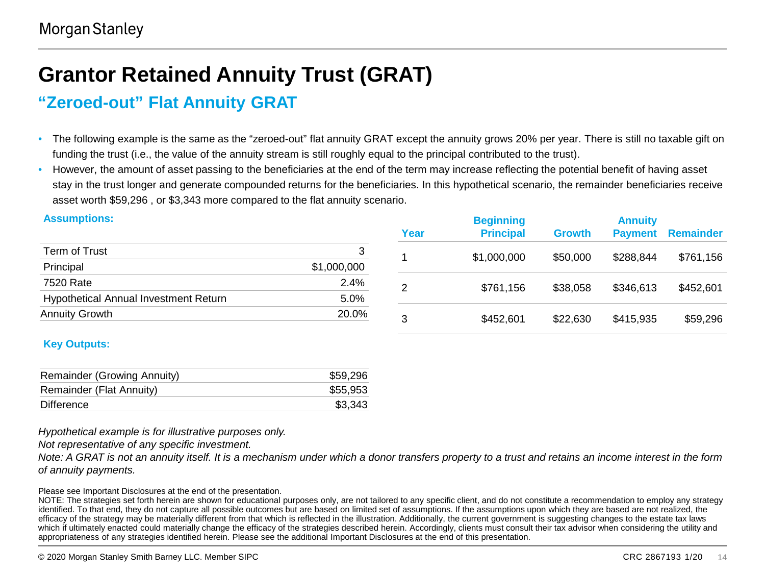### **Grantor Retained Annuity Trust (GRAT)**

#### **"Zeroed-out" Flat Annuity GRAT**

- The following example is the same as the "zeroed-out" flat annuity GRAT except the annuity grows 20% per year. There is still no taxable gift on funding the trust (i.e., the value of the annuity stream is still roughly equal to the principal contributed to the trust).
- However, the amount of asset passing to the beneficiaries at the end of the term may increase reflecting the potential benefit of having asset stay in the trust longer and generate compounded returns for the beneficiaries. In this hypothetical scenario, the remainder beneficiaries receive asset worth \$59,296 , or \$3,343 more compared to the flat annuity scenario.

| <b>Assumptions:</b>                   |             |      | <b>Beginning</b> |               | <b>Annuity</b> |           |
|---------------------------------------|-------------|------|------------------|---------------|----------------|-----------|
|                                       |             | Year | <b>Principal</b> | <b>Growth</b> | <b>Payment</b> | Remainder |
| Term of Trust                         | 3           |      | \$1,000,000      | \$50,000      | \$288,844      | \$761,156 |
| Principal                             | \$1,000,000 |      |                  |               |                |           |
| 7520 Rate                             | 2.4%        | 2    | \$761,156        | \$38,058      | \$346,613      | \$452,601 |
| Hypothetical Annual Investment Return | 5.0%        |      |                  |               |                |           |
| <b>Annuity Growth</b>                 | 20.0%       | 3    | \$452,601        | \$22,630      | \$415,935      | \$59,296  |
|                                       |             |      |                  |               |                |           |

#### **Key Outputs:**

| Remainder (Growing Annuity) | \$59,296 |
|-----------------------------|----------|
| Remainder (Flat Annuity)    | \$55,953 |
| Difference                  | \$3,343  |

*Hypothetical example is for illustrative purposes only.*

*Not representative of any specific investment.*

*Note: A GRAT is not an annuity itself. It is a mechanism under which a donor transfers property to a trust and retains an income interest in the form of annuity payments.*

Please see Important Disclosures at the end of the presentation.

NOTE: The strategies set forth herein are shown for educational purposes only, are not tailored to any specific client, and do not constitute a recommendation to employ any strategy identified. To that end, they do not capture all possible outcomes but are based on limited set of assumptions. If the assumptions upon which they are based are not realized, the efficacy of the strategy may be materially different from that which is reflected in the illustration. Additionally, the current government is suggesting changes to the estate tax laws which if ultimately enacted could materially change the efficacy of the strategies described herein. Accordingly, clients must consult their tax advisor when considering the utility and appropriateness of any strategies identified herein. Please see the additional Important Disclosures at the end of this presentation.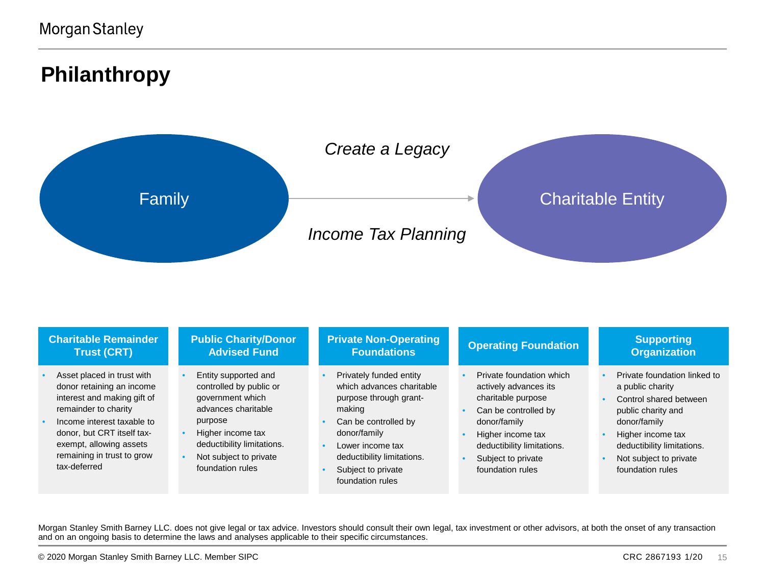#### **Philanthropy**



| <b>Charitable Remainder</b>                                                                                                                                                                                                                         | <b>Public Charity/Donor</b>                                                                                                                                                                            | <b>Private Non-Operating</b>                                                                                                                                                                                                 | <b>Operating Foundation</b>                                                                                                                                                                                  | <b>Supporting</b>                                                                                                                                                                                                 |
|-----------------------------------------------------------------------------------------------------------------------------------------------------------------------------------------------------------------------------------------------------|--------------------------------------------------------------------------------------------------------------------------------------------------------------------------------------------------------|------------------------------------------------------------------------------------------------------------------------------------------------------------------------------------------------------------------------------|--------------------------------------------------------------------------------------------------------------------------------------------------------------------------------------------------------------|-------------------------------------------------------------------------------------------------------------------------------------------------------------------------------------------------------------------|
| <b>Trust (CRT)</b>                                                                                                                                                                                                                                  | <b>Advised Fund</b>                                                                                                                                                                                    | <b>Foundations</b>                                                                                                                                                                                                           |                                                                                                                                                                                                              | <b>Organization</b>                                                                                                                                                                                               |
| Asset placed in trust with<br>donor retaining an income<br>interest and making gift of<br>remainder to charity<br>Income interest taxable to<br>donor, but CRT itself tax-<br>exempt, allowing assets<br>remaining in trust to grow<br>tax-deferred | Entity supported and<br>controlled by public or<br>government which<br>advances charitable<br>purpose<br>Higher income tax<br>deductibility limitations.<br>Not subject to private<br>foundation rules | Privately funded entity<br>which advances charitable<br>purpose through grant-<br>making<br>Can be controlled by<br>donor/family<br>Lower income tax<br>deductibility limitations.<br>Subject to private<br>foundation rules | Private foundation which<br>actively advances its<br>charitable purpose<br>Can be controlled by<br>donor/family<br>Higher income tax<br>deductibility limitations.<br>Subject to private<br>foundation rules | Private foundation linked to<br>a public charity<br>Control shared between<br>public charity and<br>donor/family<br>Higher income tax<br>deductibility limitations.<br>Not subject to private<br>foundation rules |

Morgan Stanley Smith Barney LLC. does not give legal or tax advice. Investors should consult their own legal, tax investment or other advisors, at both the onset of any transaction and on an ongoing basis to determine the laws and analyses applicable to their specific circumstances.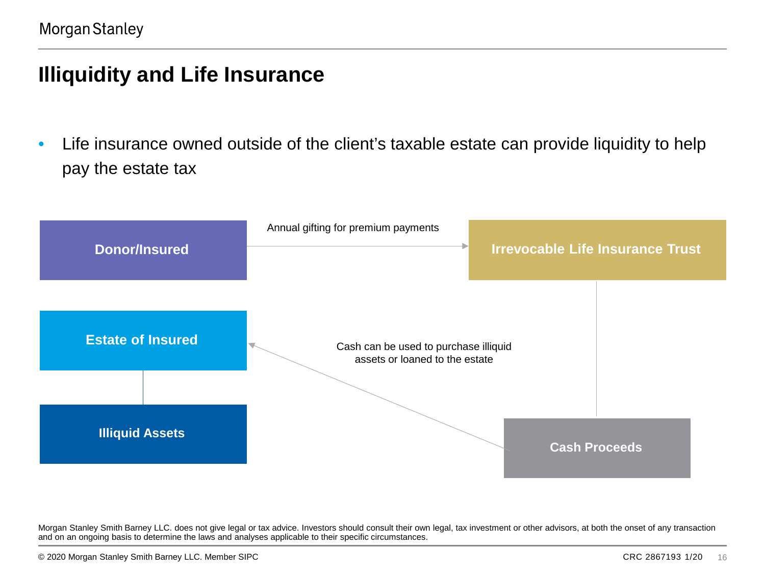#### **Illiquidity and Life Insurance**

• Life insurance owned outside of the client's taxable estate can provide liquidity to help pay the estate tax

| <b>Donor/Insured</b>     | Annual gifting for premium payments<br><b>Irrevocable Life Insurance Trust</b> |
|--------------------------|--------------------------------------------------------------------------------|
| <b>Estate of Insured</b> | Cash can be used to purchase illiquid<br>◟<br>assets or loaned to the estate   |
| <b>Illiquid Assets</b>   | <b>Cash Proceeds</b>                                                           |

Morgan Stanley Smith Barney LLC. does not give legal or tax advice. Investors should consult their own legal, tax investment or other advisors, at both the onset of any transaction and on an ongoing basis to determine the laws and analyses applicable to their specific circumstances.